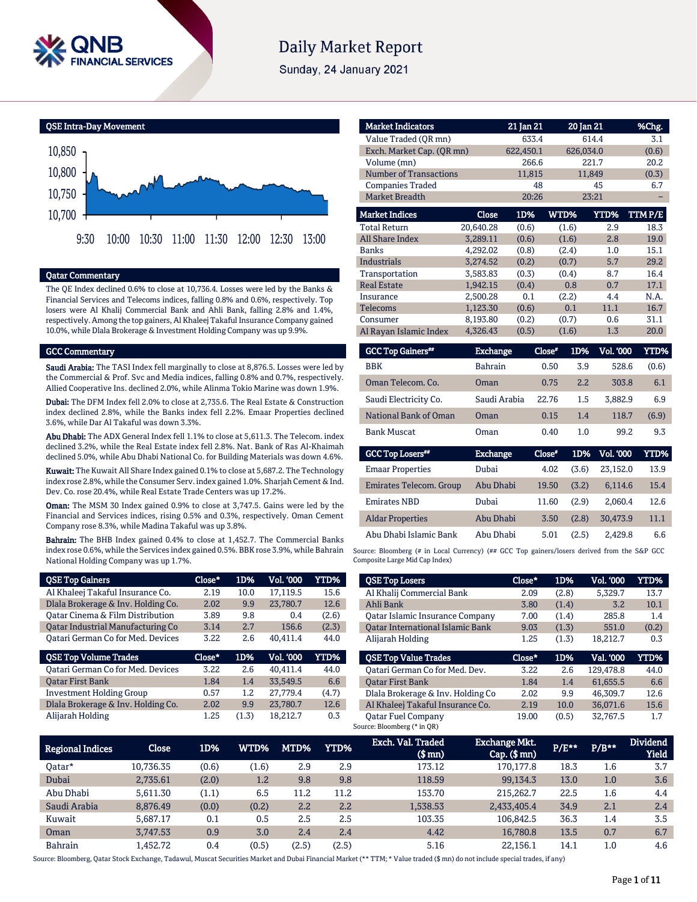

# **Daily Market Report**

Sunday, 24 January 2021

QSE Intra-Day Movement



## Qatar Commentary

The QE Index declined 0.6% to close at 10,736.4. Losses were led by the Banks & Financial Services and Telecoms indices, falling 0.8% and 0.6%, respectively. Top losers were Al Khalij Commercial Bank and Ahli Bank, falling 2.8% and 1.4%, respectively. Among the top gainers, Al Khaleej Takaful Insurance Company gained 10.0%, while Dlala Brokerage & Investment Holding Company was up 9.9%.

## GCC Commentary

Saudi Arabia: The TASI Index fell marginally to close at 8,876.5. Losses were led by the Commercial & Prof. Svc and Media indices, falling 0.8% and 0.7%, respectively. Allied Cooperative Ins. declined 2.0%, while Alinma Tokio Marine was down 1.9%.

Dubai: The DFM Index fell 2.0% to close at 2,735.6. The Real Estate & Construction index declined 2.8%, while the Banks index fell 2.2%. Emaar Properties declined 3.6%, while Dar Al Takaful was down 3.3%.

Abu Dhabi: The ADX General Index fell 1.1% to close at 5,611.3. The Telecom. index declined 3.2%, while the Real Estate index fell 2.8%. Nat. Bank of Ras Al-Khaimah declined 5.0%, while Abu Dhabi National Co. for Building Materials was down 4.6%.

Kuwait: The Kuwait All Share Index gained 0.1% to close at 5,687.2. The Technology index rose 2.8%, while the Consumer Serv. index gained 1.0%. Sharjah Cement & Ind. Dev. Co. rose 20.4%, while Real Estate Trade Centers was up 17.2%.

Oman: The MSM 30 Index gained 0.9% to close at 3,747.5. Gains were led by the Financial and Services indices, rising 0.5% and 0.3%, respectively. Oman Cement Company rose 8.3%, while Madina Takaful was up 3.8%.

Bahrain: The BHB Index gained 0.4% to close at 1,452.7. The Commercial Banks index rose 0.6%, while the Services index gained 0.5%. BBK rose 3.9%, while Bahrain National Holding Company was up 1.7%.

| <b>QSE Top Gainers</b>                   | Close* | 1D%  | Vol. '000 | <b>YTD%</b> |
|------------------------------------------|--------|------|-----------|-------------|
| Al Khaleej Takaful Insurance Co.         | 2.19   | 10.0 | 17.119.5  | 15.6        |
| Dlala Brokerage & Inv. Holding Co.       | 2.02   | 9.9  | 23.780.7  | 12.6        |
| Oatar Cinema & Film Distribution         | 3.89   | 9.8  | 0.4       | (2.6)       |
| Oatar Industrial Manufacturing Co        | 3.14   | 2.7  | 156.6     | (2.3)       |
| <b>Qatari German Co for Med. Devices</b> | 3.22   | 2.6  | 40.411.4  | 44.0        |
|                                          |        |      |           |             |
| <b>QSE Top Volume Trades</b>             | Close* | 1D%  | Vol. '000 | YTD%        |
| <b>Qatari German Co for Med. Devices</b> | 3.22   | 2.6  | 40.411.4  | 44.0        |
| <b>Oatar First Bank</b>                  | 1.84   | 1.4  | 33,549.5  | 6.6         |
| <b>Investment Holding Group</b>          | 0.57   | 1.2  | 27,779.4  | (4.7)       |
| Dlala Brokerage & Inv. Holding Co.       | 2.02   | 9.9  | 23,780.7  | 12.6        |

| <b>Market Indicators</b>      |                 | 21 Jan 21 |        | 20 Jan 21 |                  | %Chg.   |
|-------------------------------|-----------------|-----------|--------|-----------|------------------|---------|
| Value Traded (OR mn)          |                 | 633.4     |        | 614.4     |                  | 3.1     |
| Exch. Market Cap. (QR mn)     |                 | 622,450.1 |        | 626,034.0 |                  | (0.6)   |
| Volume (mn)                   |                 | 266.6     |        | 221.7     |                  | 20.2    |
| <b>Number of Transactions</b> |                 | 11,815    |        | 11,849    |                  | (0.3)   |
| <b>Companies Traded</b>       |                 | 48        |        |           | 45               | 6.7     |
| Market Breadth                |                 | 20:26     |        | 23:21     |                  |         |
| <b>Market Indices</b>         | <b>Close</b>    | 1D%       |        | WTD%      | YTD%             | TTM P/E |
| <b>Total Return</b>           | 20,640.28       | (0.6)     |        | (1.6)     | 2.9              | 18.3    |
| <b>All Share Index</b>        | 3.289.11        | (0.6)     |        | (1.6)     | 2.8              | 19.0    |
| Banks                         | 4,292.02        | (0.8)     |        | (2.4)     | 1.0              | 15.1    |
| <b>Industrials</b>            | 3,274.52        | (0.2)     |        | (0.7)     | 5.7              | 29.2    |
| Transportation                | 3.583.83        | (0.3)     |        | (0.4)     | 8.7              | 16.4    |
| <b>Real Estate</b>            | 1.942.15        | (0.4)     |        | 0.8       | 0.7              | 17.1    |
| Insurance                     | 2,500.28        | 0.1       |        | (2.2)     | 4.4              | N.A.    |
| Telecoms                      | 1.123.30        | (0.6)     |        | 0.1       | 11.1             | 16.7    |
| Consumer                      | 8.193.80        | (0.2)     |        | (0.7)     | 0.6              | 31.1    |
| Al Rayan Islamic Index        | 4,326.43        | (0.5)     |        | (1.6)     | 1.3              | 20.0    |
| <b>GCC Top Gainers**</b>      | <b>Exchange</b> |           | Close* | 1D%       | <b>Vol. '000</b> | YTD%    |
| <b>BBK</b>                    | <b>Bahrain</b>  |           | 0.50   | 3.9       | 528.6            | (0.6)   |
| Oman Telecom, Co.             | Oman            |           | 0.75   | 2.2       | 303.8            | 6.1     |
| Saudi Electricity Co.         | Saudi Arabia    |           | 22.76  | 1.5       | 3.882.9          | 6.9     |
| National Bank of Oman         | Oman            |           | 0.15   | 1.4       | 118.7            | (6.9)   |
| <b>Bank Muscat</b>            | Oman            |           | 0.40   | 1.0       | 99.2             | 9.3     |

| <b>GCC Top Losers**</b> | <b>Exchange</b> | Close* | 1D%   | <b>Vol. '000</b> | YTD% |
|-------------------------|-----------------|--------|-------|------------------|------|
| <b>Emaar Properties</b> | Dubai           | 4.02   | (3.6) | 23.152.0         | 13.9 |
| Emirates Telecom. Group | Abu Dhabi       | 19.50  | (3.2) | 6,114.6          | 15.4 |
| <b>Emirates NBD</b>     | Dubai           | 11.60  | (2.9) | 2.060.4          | 12.6 |
| <b>Aldar Properties</b> | Abu Dhabi       | 3.50   | (2.8) | 30.473.9         | 11.1 |
| Abu Dhabi Islamic Bank  | Abu Dhabi       | 5.01   | (2.5) | 2.429.8          | 6.6  |

Source: Bloomberg (# in Local Currency) (## GCC Top gainers/losers derived from the S&P GCC Composite Large Mid Cap Index)

| <b>QSE Top Losers</b>                   | Close* | 1D%   | <b>Vol. '000</b> | <b>YTD%</b> |
|-----------------------------------------|--------|-------|------------------|-------------|
| Al Khalij Commercial Bank               | 2.09   | (2.8) | 5,329.7          | 13.7        |
| Ahli Bank                               | 3.80   | (1.4) | 3.2              | 10.1        |
| <b>Qatar Islamic Insurance Company</b>  | 7.00   | (1.4) | 285.8            | 1.4         |
| <b>Oatar International Islamic Bank</b> | 9.03   | (1.3) | 551.0            | (0.2)       |
| Alijarah Holding                        | 1.25   | (1.3) | 18,212.7         | 0.3         |
|                                         |        |       |                  |             |
| <b>OSE Top Value Trades</b>             | Close* | 1D%   | Val. '000        | <b>YTD%</b> |
| Oatari German Co for Med. Dev.          | 3.22   | 2.6   | 129.478.8        | 44.0        |
| <b>Oatar First Bank</b>                 | 1.84   | 1.4   | 61.655.5         | 6.6         |
| Dlala Brokerage & Inv. Holding Co       | 2.02   | 9.9   | 46,309.7         | 12.6        |
| Al Khaleej Takaful Insurance Co.        | 2.19   | 10.0  | 36.071.6         | 15.6        |

| <b>Regional Indices</b> | <b>Close</b> | 1D%   | WTD%' | MTD%  | YTD%  | Exch. Val. Traded<br>$$$ mn $)$ | <b>Exchange Mkt.</b><br>$Cap.$ (\$ $mn$ ) | P/E** | $P/B**$ | <b>Dividend</b><br><b>Yield</b> |
|-------------------------|--------------|-------|-------|-------|-------|---------------------------------|-------------------------------------------|-------|---------|---------------------------------|
| Oatar*                  | 10,736.35    | (0.6) | (1.6) | 2.9   | 2.9   | 173.12                          | 170,177.8                                 | 18.3  | 1.6     | 3.7                             |
| Dubai                   | 2,735.61     | (2.0) | 1.2   | 9.8   | 9.8   | 118.59                          | 99.134.3                                  | 13.0  | 1.0     | 3.6                             |
| Abu Dhabi               | 5.611.30     | (1.1) | 6.5   | 11.2  | 11.2  | 153.70                          | 215,262.7                                 | 22.5  | 1.6     | 4.4                             |
| Saudi Arabia            | 8.876.49     | (0.0) | (0.2) | 2.2   | 2.2   | 1,538.53                        | 2,433,405.4                               | 34.9  | 2.1     | 2.4                             |
| Kuwait                  | 5.687.17     | 0.1   | 0.5   | 2.5   | 2.5   | 103.35                          | 106.842.5                                 | 36.3  | 1.4     | 3.5                             |
| Oman                    | 3.747.53     | 0.9   | 3.0   | 2.4   | 2.4   | 4.42                            | 16.780.8                                  | 13.5  | 0.7     | 6.7                             |
| <b>Bahrain</b>          | 1.452.72     | 0.4   | (0.5) | (2.5) | (2.5) | 5.16                            | 22,156.1                                  | 14.1  | $1.0\,$ | 4.6                             |

Source: Bloomberg, Qatar Stock Exchange, Tadawul, Muscat Securities Market and Dubai Financial Market (\*\* TTM; \* Value traded (\$ mn) do not include special trades, if any)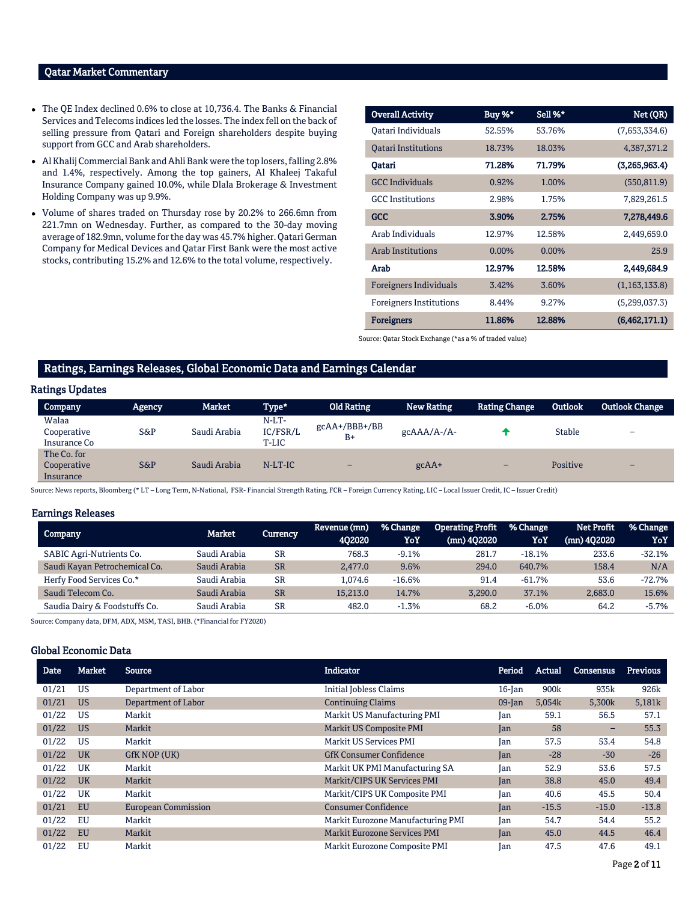## Qatar Market Commentary

- The QE Index declined 0.6% to close at 10,736.4. The Banks & Financial Services and Telecoms indices led the losses. The index fell on the back of selling pressure from Qatari and Foreign shareholders despite buying support from GCC and Arab shareholders.
- Al Khalij Commercial Bank and Ahli Bank were the top losers, falling 2.8% and 1.4%, respectively. Among the top gainers, Al Khaleej Takaful Insurance Company gained 10.0%, while Dlala Brokerage & Investment Holding Company was up 9.9%.
- Volume of shares traded on Thursday rose by 20.2% to 266.6mn from 221.7mn on Wednesday. Further, as compared to the 30-day moving average of 182.9mn, volume for the day was 45.7% higher. Qatari German Company for Medical Devices and Qatar First Bank were the most active stocks, contributing 15.2% and 12.6% to the total volume, respectively.

| <b>Overall Activity</b>        | Buy %*   | Sell %*  | Net (QR)        |
|--------------------------------|----------|----------|-----------------|
| Oatari Individuals             | 52.55%   | 53.76%   | (7,653,334.6)   |
| <b>Oatari Institutions</b>     | 18.73%   | 18.03%   | 4,387,371.2     |
| Oatari                         | 71.28%   | 71.79%   | (3,265,963.4)   |
| <b>GCC Individuals</b>         | 0.92%    | 1.00%    | (550, 811.9)    |
| <b>GCC</b> Institutions        | 2.98%    | 1.75%    | 7,829,261.5     |
| GCC                            | 3.90%    | 2.75%    | 7,278,449.6     |
| Arab Individuals               | 12.97%   | 12.58%   | 2,449,659.0     |
| <b>Arab Institutions</b>       | $0.00\%$ | $0.00\%$ | 25.9            |
| Arab                           | 12.97%   | 12.58%   | 2,449,684.9     |
| Foreigners Individuals         | 3.42%    | 3.60%    | (1, 163, 133.8) |
| <b>Foreigners Institutions</b> | 8.44%    | 9.27%    | (5,299,037.3)   |
| <b>Foreigners</b>              | 11.86%   | 12.88%   | (6, 462, 171.1) |

Source: Qatar Stock Exchange (\*as a % of traded value)

## Ratings, Earnings Releases, Global Economic Data and Earnings Calendar

## Ratings Updates

| <b>Company</b>                          | <b>Agency</b> | Market       | Type*                        | <b>Old Rating</b>       | <b>New Rating</b> | <b>Rating Change</b> | Outlook       | <b>Outlook Change</b>    |
|-----------------------------------------|---------------|--------------|------------------------------|-------------------------|-------------------|----------------------|---------------|--------------------------|
| Walaa<br>Cooperative<br>Insurance Co    | S&P           | Saudi Arabia | $N-LT-$<br>IC/FSR/L<br>T-LIC | $gcAA+/BBB+/BB$<br>$B+$ | $gcAAA/A$ -/A-    |                      | <b>Stable</b> | $\overline{\phantom{0}}$ |
| The Co. for<br>Cooperative<br>Insurance | $S\&P$        | Saudi Arabia | $N-LT-IC$                    | -                       | $gcAA+$           | -                    | Positive      | $\overline{\phantom{0}}$ |

Source: News reports, Bloomberg (\* LT – Long Term, N-National, FSR- Financial Strength Rating, FCR – Foreign Currency Rating, LIC – Local Issuer Credit, IC – Issuer Credit)

## Earnings Releases

|                               | Market       |           | Revenue (mn) | % Change | <b>Operating Profit</b> | % Change | Net Profit    | % Change |
|-------------------------------|--------------|-----------|--------------|----------|-------------------------|----------|---------------|----------|
| <b>Company</b>                |              | Currency  | 402020       | YoY      | (mn) 402020             | YoY      | $(mn)$ 402020 | YoY      |
| SABIC Agri-Nutrients Co.      | Saudi Arabia | <b>SR</b> | 768.3        | $-9.1%$  | 281.7                   | $-18.1%$ | 233.6         | $-32.1%$ |
| Saudi Kayan Petrochemical Co. | Saudi Arabia | <b>SR</b> | 2.477.0      | 9.6%     | 294.0                   | 640.7%   | 158.4         | N/A      |
| Herfy Food Services Co.*      | Saudi Arabia | <b>SR</b> | 1.074.6      | $-16.6%$ | 91.4                    | $-61.7%$ | 53.6          | -72.7%   |
| Saudi Telecom Co.             | Saudi Arabia | <b>SR</b> | 15.213.0     | 14.7%    | 3.290.0                 | 37.1%    | 2,683.0       | 15.6%    |
| Saudia Dairy & Foodstuffs Co. | Saudi Arabia | <b>SR</b> | 482.0        | $-1.3%$  | 68.2                    | $-6.0\%$ | 64.2          | $-5.7%$  |

Source: Company data, DFM, ADX, MSM, TASI, BHB. (\*Financial for FY2020)

## Global Economic Data

| <b>Date</b> | <b>Market</b> | <b>Source</b>              | Indicator                           | Period    | Actual  | Consensus                | <b>Previous</b> |
|-------------|---------------|----------------------------|-------------------------------------|-----------|---------|--------------------------|-----------------|
| 01/21       | US            | Department of Labor        | <b>Initial Jobless Claims</b>       | $16$ -Jan | 900k    | 935k                     | 926k            |
| 01/21       | <b>US</b>     | Department of Labor        | <b>Continuing Claims</b>            | $09$ -Jan | 5,054k  | 5,300k                   | 5,181k          |
| 01/22       | US            | Markit                     | Markit US Manufacturing PMI         | Jan       | 59.1    | 56.5                     | 57.1            |
| 01/22       | <b>US</b>     | Markit                     | <b>Markit US Composite PMI</b>      | Jan       | 58      | $\overline{\phantom{0}}$ | 55.3            |
| 01/22       | US            | Markit                     | Markit US Services PMI              | Jan       | 57.5    | 53.4                     | 54.8            |
| 01/22       | <b>UK</b>     | GfK NOP (UK)               | <b>GfK Consumer Confidence</b>      | Ian       | $-28$   | $-30$                    | $-26$           |
| 01/22       | <b>UK</b>     | Markit                     | Markit UK PMI Manufacturing SA      | Jan       | 52.9    | 53.6                     | 57.5            |
| 01/22       | <b>UK</b>     | Markit                     | Markit/CIPS UK Services PMI         | Jan       | 38.8    | 45.0                     | 49.4            |
| 01/22       | UK            | Markit                     | Markit/CIPS UK Composite PMI        | Jan       | 40.6    | 45.5                     | 50.4            |
| 01/21       | <b>EU</b>     | <b>European Commission</b> | <b>Consumer Confidence</b>          | Jan       | $-15.5$ | $-15.0$                  | $-13.8$         |
| 01/22       | EU            | Markit                     | Markit Eurozone Manufacturing PMI   | Jan       | 54.7    | 54.4                     | 55.2            |
| 01/22       | <b>EU</b>     | Markit                     | <b>Markit Eurozone Services PMI</b> | Jan       | 45.0    | 44.5                     | 46.4            |
| 01/22       | EU            | Markit                     | Markit Eurozone Composite PMI       | Ian       | 47.5    | 47.6                     | 49.1            |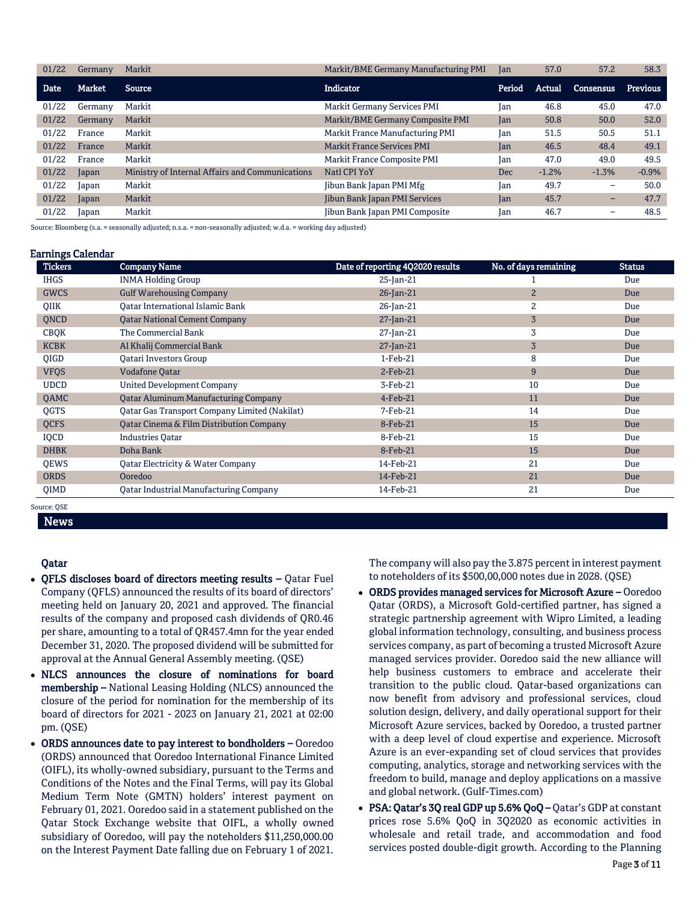| 01/22 | Germany | Markit                                          | Markit/BME Germany Manufacturing PMI | Jan        | 57.0    | 57.2      | 58.3            |
|-------|---------|-------------------------------------------------|--------------------------------------|------------|---------|-----------|-----------------|
| Date  | Market  | <b>Source</b>                                   | Indicator                            | Period     | Actual  | Consensus | <b>Previous</b> |
| 01/22 | Germany | Markit                                          | <b>Markit Germany Services PMI</b>   | Jan        | 46.8    | 45.0      | 47.0            |
| 01/22 | Germany | Markit                                          | Markit/BME Germany Composite PMI     | Jan        | 50.8    | 50.0      | 52.0            |
| 01/22 | France  | Markit                                          | Markit France Manufacturing PMI      | Jan        | 51.5    | 50.5      | 51.1            |
| 01/22 | France  | Markit                                          | <b>Markit France Services PMI</b>    | Jan        | 46.5    | 48.4      | 49.1            |
| 01/22 | France  | Markit                                          | Markit France Composite PMI          | Jan        | 47.0    | 49.0      | 49.5            |
| 01/22 | Japan   | Ministry of Internal Affairs and Communications | Natl CPI YoY                         | <b>Dec</b> | $-1.2%$ | $-1.3%$   | $-0.9%$         |
| 01/22 | Japan   | Markit                                          | Jibun Bank Japan PMI Mfg             | Jan        | 49.7    | -         | 50.0            |
| 01/22 | Japan   | Markit                                          | Jibun Bank Japan PMI Services        | Jan        | 45.7    | -         | 47.7            |
| 01/22 | Japan   | Markit                                          | Jibun Bank Japan PMI Composite       | Jan        | 46.7    | -         | 48.5            |

Source: Bloomberg (s.a. = seasonally adjusted; n.s.a. = non-seasonally adjusted; w.d.a. = working day adjusted)

## Earnings Calendar

| <b>Tickers</b> | <b>Company Name</b>                                  | Date of reporting 4Q2020 results | No. of days remaining | <b>Status</b> |
|----------------|------------------------------------------------------|----------------------------------|-----------------------|---------------|
| <b>IHGS</b>    | <b>INMA Holding Group</b>                            | $25$ -Jan-21                     |                       | Due           |
| <b>GWCS</b>    | <b>Gulf Warehousing Company</b>                      | $26$ -Jan-21                     | $\overline{2}$        | Due           |
| <b>OIIK</b>    | Oatar International Islamic Bank                     | $26$ -Jan-21                     | 2                     | Due           |
| QNCD           | <b>Qatar National Cement Company</b>                 | $27$ -Jan-21                     | $\overline{3}$        | Due           |
| <b>CBQK</b>    | The Commercial Bank                                  | $27$ -Jan-21                     | 3                     | Due           |
| <b>KCBK</b>    | Al Khalij Commercial Bank                            | $27$ -Jan-21                     | $\overline{3}$        | Due           |
| <b>OIGD</b>    | <b>Oatari Investors Group</b>                        | $1-Feb-21$                       | 8                     | Due           |
| <b>VFQS</b>    | <b>Vodafone Qatar</b>                                | $2$ -Feb-21                      | 9                     | Due           |
| <b>UDCD</b>    | <b>United Development Company</b>                    | 3-Feb-21                         | 10                    | Due           |
| QAMC           | <b>Qatar Aluminum Manufacturing Company</b>          | $4$ -Feb-21                      | 11                    | Due           |
| <b>OGTS</b>    | <b>Qatar Gas Transport Company Limited (Nakilat)</b> | 7-Feb-21                         | 14                    | Due           |
| <b>QCFS</b>    | Qatar Cinema & Film Distribution Company             | 8-Feb-21                         | 15                    | Due           |
| IQCD           | <b>Industries Qatar</b>                              | 8-Feb-21                         | 15                    | Due           |
| <b>DHBK</b>    | Doha Bank                                            | 8-Feb-21                         | 15                    | Due           |
| QEWS           | Qatar Electricity & Water Company                    | 14-Feb-21                        | 21                    | Due           |
| <b>ORDS</b>    | Ooredoo                                              | 14-Feb-21                        | 21                    | Due           |
| <b>OIMD</b>    | Oatar Industrial Manufacturing Company               | 14-Feb-21                        | 21                    | Due           |
| Source: OSE    |                                                      |                                  |                       |               |

News

## Qatar

- QFLS discloses board of directors meeting results Qatar Fuel Company (QFLS) announced the results of its board of directors' meeting held on January 20, 2021 and approved. The financial results of the company and proposed cash dividends of QR0.46 per share, amounting to a total of QR457.4mn for the year ended December 31, 2020. The proposed dividend will be submitted for approval at the Annual General Assembly meeting. (QSE)
- NLCS announces the closure of nominations for board membership – National Leasing Holding (NLCS) announced the closure of the period for nomination for the membership of its board of directors for 2021 - 2023 on January 21, 2021 at 02:00 pm. (QSE)
- ORDS announces date to pay interest to bondholders Ooredoo (ORDS) announced that Ooredoo International Finance Limited (OIFL), its wholly-owned subsidiary, pursuant to the Terms and Conditions of the Notes and the Final Terms, will pay its Global Medium Term Note (GMTN) holders' interest payment on February 01, 2021. Ooredoo said in a statement published on the Qatar Stock Exchange website that OIFL, a wholly owned subsidiary of Ooredoo, will pay the noteholders \$11,250,000.00 on the Interest Payment Date falling due on February 1 of 2021.

The company will also pay the 3.875 percent in interest payment to noteholders of its \$500,00,000 notes due in 2028. (QSE)

- ORDS provides managed services for Microsoft Azure Ooredoo Qatar (ORDS), a Microsoft Gold-certified partner, has signed a strategic partnership agreement with Wipro Limited, a leading global information technology, consulting, and business process services company, as part of becoming a trusted Microsoft Azure managed services provider. Ooredoo said the new alliance will help business customers to embrace and accelerate their transition to the public cloud. Qatar-based organizations can now benefit from advisory and professional services, cloud solution design, delivery, and daily operational support for their Microsoft Azure services, backed by Ooredoo, a trusted partner with a deep level of cloud expertise and experience. Microsoft Azure is an ever-expanding set of cloud services that provides computing, analytics, storage and networking services with the freedom to build, manage and deploy applications on a massive and global network. (Gulf-Times.com)
- PSA: Qatar's 3Q real GDP up 5.6% QoQ Qatar's GDP at constant prices rose 5.6% QoQ in 3Q2020 as economic activities in wholesale and retail trade, and accommodation and food services posted double-digit growth. According to the Planning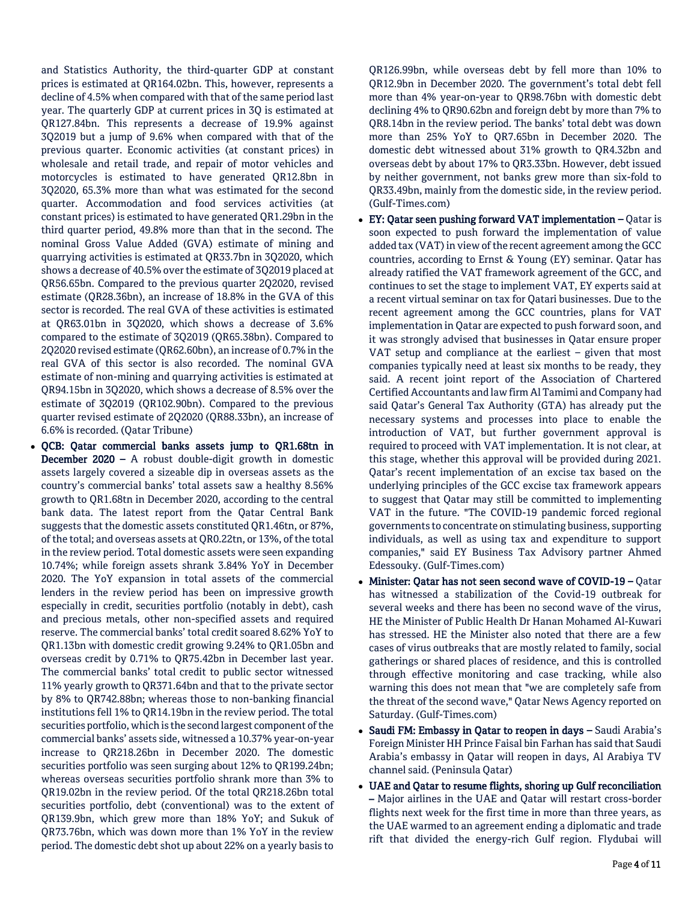and Statistics Authority, the third-quarter GDP at constant prices is estimated at QR164.02bn. This, however, represents a decline of 4.5% when compared with that of the same period last year. The quarterly GDP at current prices in 3Q is estimated at QR127.84bn. This represents a decrease of 19.9% against 3Q2019 but a jump of 9.6% when compared with that of the previous quarter. Economic activities (at constant prices) in wholesale and retail trade, and repair of motor vehicles and motorcycles is estimated to have generated QR12.8bn in 3Q2020, 65.3% more than what was estimated for the second quarter. Accommodation and food services activities (at constant prices) is estimated to have generated QR1.29bn in the third quarter period, 49.8% more than that in the second. The nominal Gross Value Added (GVA) estimate of mining and quarrying activities is estimated at QR33.7bn in 3Q2020, which shows a decrease of 40.5% over the estimate of 3Q2019 placed at QR56.65bn. Compared to the previous quarter 2Q2020, revised estimate (QR28.36bn), an increase of 18.8% in the GVA of this sector is recorded. The real GVA of these activities is estimated at QR63.01bn in 3Q2020, which shows a decrease of 3.6% compared to the estimate of 3Q2019 (QR65.38bn). Compared to 2Q2020 revised estimate (QR62.60bn), an increase of 0.7% in the real GVA of this sector is also recorded. The nominal GVA estimate of non-mining and quarrying activities is estimated at QR94.15bn in 3Q2020, which shows a decrease of 8.5% over the estimate of 3Q2019 (QR102.90bn). Compared to the previous quarter revised estimate of 2Q2020 (QR88.33bn), an increase of 6.6% is recorded. (Qatar Tribune)

 QCB: Qatar commercial banks assets jump to QR1.68tn in December 2020 – A robust double-digit growth in domestic assets largely covered a sizeable dip in overseas assets as the country's commercial banks' total assets saw a healthy 8.56% growth to QR1.68tn in December 2020, according to the central bank data. The latest report from the Qatar Central Bank suggests that the domestic assets constituted QR1.46tn, or 87%, of the total; and overseas assets at QR0.22tn, or 13%, of the total in the review period. Total domestic assets were seen expanding 10.74%; while foreign assets shrank 3.84% YoY in December 2020. The YoY expansion in total assets of the commercial lenders in the review period has been on impressive growth especially in credit, securities portfolio (notably in debt), cash and precious metals, other non-specified assets and required reserve. The commercial banks' total credit soared 8.62% YoY to QR1.13bn with domestic credit growing 9.24% to QR1.05bn and overseas credit by 0.71% to QR75.42bn in December last year. The commercial banks' total credit to public sector witnessed 11% yearly growth to QR371.64bn and that to the private sector by 8% to QR742.88bn; whereas those to non-banking financial institutions fell 1% to QR14.19bn in the review period. The total securities portfolio, which is the second largest component of the commercial banks' assets side, witnessed a 10.37% year-on-year increase to QR218.26bn in December 2020. The domestic securities portfolio was seen surging about 12% to QR199.24bn; whereas overseas securities portfolio shrank more than 3% to QR19.02bn in the review period. Of the total QR218.26bn total securities portfolio, debt (conventional) was to the extent of QR139.9bn, which grew more than 18% YoY; and Sukuk of QR73.76bn, which was down more than 1% YoY in the review period. The domestic debt shot up about 22% on a yearly basis to

QR126.99bn, while overseas debt by fell more than 10% to QR12.9bn in December 2020. The government's total debt fell more than 4% year-on-year to QR98.76bn with domestic debt declining 4% to QR90.62bn and foreign debt by more than 7% to QR8.14bn in the review period. The banks' total debt was down more than 25% YoY to QR7.65bn in December 2020. The domestic debt witnessed about 31% growth to QR4.32bn and overseas debt by about 17% to QR3.33bn. However, debt issued by neither government, not banks grew more than six-fold to QR33.49bn, mainly from the domestic side, in the review period. (Gulf-Times.com)

- EY: Qatar seen pushing forward VAT implementation Qatar is soon expected to push forward the implementation of value added tax (VAT) in view of the recent agreement among the GCC countries, according to Ernst & Young (EY) seminar. Qatar has already ratified the VAT framework agreement of the GCC, and continues to set the stage to implement VAT, EY experts said at a recent virtual seminar on tax for Qatari businesses. Due to the recent agreement among the GCC countries, plans for VAT implementation in Qatar are expected to push forward soon, and it was strongly advised that businesses in Qatar ensure proper VAT setup and compliance at the earliest – given that most companies typically need at least six months to be ready, they said. A recent joint report of the Association of Chartered Certified Accountants and law firm Al Tamimi and Company had said Qatar's General Tax Authority (GTA) has already put the necessary systems and processes into place to enable the introduction of VAT, but further government approval is required to proceed with VAT implementation. It is not clear, at this stage, whether this approval will be provided during 2021. Qatar's recent implementation of an excise tax based on the underlying principles of the GCC excise tax framework appears to suggest that Qatar may still be committed to implementing VAT in the future. "The COVID-19 pandemic forced regional governments to concentrate on stimulating business, supporting individuals, as well as using tax and expenditure to support companies," said EY Business Tax Advisory partner Ahmed Edessouky. (Gulf-Times.com)
- Minister: Qatar has not seen second wave of COVID-19 Qatar has witnessed a stabilization of the Covid-19 outbreak for several weeks and there has been no second wave of the virus, HE the Minister of Public Health Dr Hanan Mohamed Al-Kuwari has stressed. HE the Minister also noted that there are a few cases of virus outbreaks that are mostly related to family, social gatherings or shared places of residence, and this is controlled through effective monitoring and case tracking, while also warning this does not mean that "we are completely safe from the threat of the second wave," Qatar News Agency reported on Saturday. (Gulf-Times.com)
- Saudi FM: Embassy in Qatar to reopen in days Saudi Arabia's Foreign Minister HH Prince Faisal bin Farhan has said that Saudi Arabia's embassy in Qatar will reopen in days, Al Arabiya TV channel said. (Peninsula Qatar)
- UAE and Qatar to resume flights, shoring up Gulf reconciliation – Major airlines in the UAE and Qatar will restart cross-border flights next week for the first time in more than three years, as the UAE warmed to an agreement ending a diplomatic and trade rift that divided the energy-rich Gulf region. Flydubai will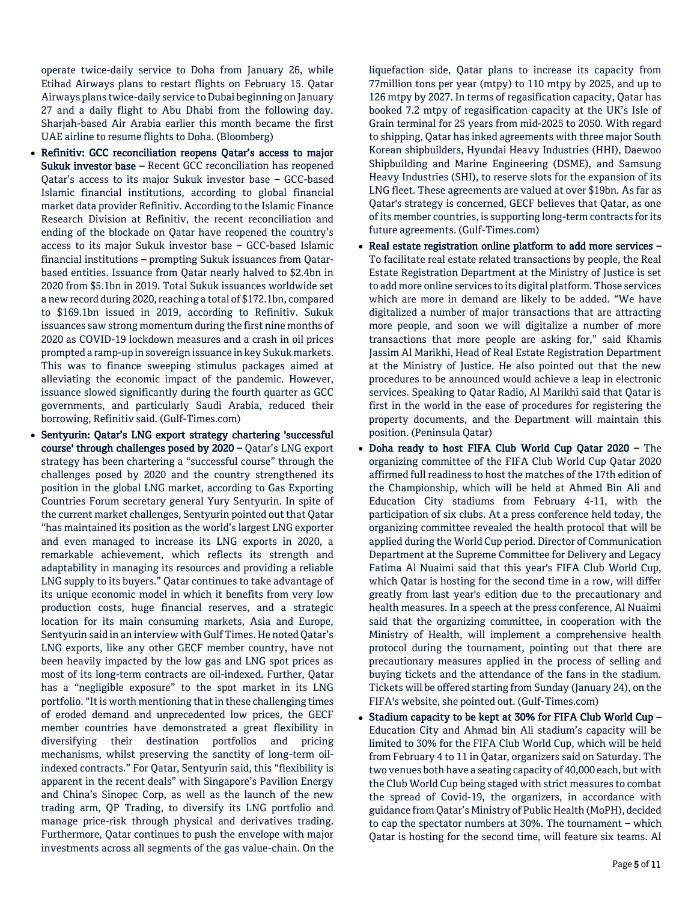operate twice-daily service to Doha from January 26, while Etihad Airways plans to restart flights on February 15. Qatar Airways plans twice-daily service to Dubai beginning on January 27 and a daily flight to Abu Dhabi from the following day. Sharjah-based Air Arabia earlier this month became the first UAE airline to resume flights to Doha. (Bloomberg)

- Refinitiv: GCC reconciliation reopens Qatar's access to major Sukuk investor base – Recent GCC reconciliation has reopened Qatar's access to its major Sukuk investor base – GCC-based Islamic financial institutions, according to global financial market data provider Refinitiv. According to the Islamic Finance Research Division at Refinitiv, the recent reconciliation and ending of the blockade on Qatar have reopened the country's access to its major Sukuk investor base – GCC-based Islamic financial institutions – prompting Sukuk issuances from Qatarbased entities. Issuance from Qatar nearly halved to \$2.4bn in 2020 from \$5.1bn in 2019. Total Sukuk issuances worldwide set a new record during 2020, reaching a total of \$172.1bn, compared to \$169.1bn issued in 2019, according to Refinitiv. Sukuk issuances saw strong momentum during the first nine months of 2020 as COVID-19 lockdown measures and a crash in oil prices prompted a ramp-up in sovereign issuance in key Sukuk markets. This was to finance sweeping stimulus packages aimed at alleviating the economic impact of the pandemic. However, issuance slowed significantly during the fourth quarter as GCC governments, and particularly Saudi Arabia, reduced their borrowing, Refinitiv said. (Gulf-Times.com)
- Sentyurin: Qatar's LNG export strategy chartering 'successful course' through challenges posed by 2020 – Qatar's LNG export strategy has been chartering a "successful course" through the challenges posed by 2020 and the country strengthened its position in the global LNG market, according to Gas Exporting Countries Forum secretary general Yury Sentyurin. In spite of the current market challenges, Sentyurin pointed out that Qatar "has maintained its position as the world's largest LNG exporter and even managed to increase its LNG exports in 2020, a remarkable achievement, which reflects its strength and adaptability in managing its resources and providing a reliable LNG supply to its buyers." Qatar continues to take advantage of its unique economic model in which it benefits from very low production costs, huge financial reserves, and a strategic location for its main consuming markets, Asia and Europe, Sentyurin said in an interview with Gulf Times. He noted Qatar's LNG exports, like any other GECF member country, have not been heavily impacted by the low gas and LNG spot prices as most of its long-term contracts are oil-indexed. Further, Qatar has a "negligible exposure" to the spot market in its LNG portfolio. "It is worth mentioning that in these challenging times of eroded demand and unprecedented low prices, the GECF member countries have demonstrated a great flexibility in diversifying their destination portfolios and pricing mechanisms, whilst preserving the sanctity of long-term oilindexed contracts." For Qatar, Sentyurin said, this "flexibility is apparent in the recent deals" with Singapore's Pavilion Energy and China's Sinopec Corp, as well as the launch of the new trading arm, QP Trading, to diversify its LNG portfolio and manage price-risk through physical and derivatives trading. Furthermore, Qatar continues to push the envelope with major investments across all segments of the gas value-chain. On the

liquefaction side, Qatar plans to increase its capacity from 77million tons per year (mtpy) to 110 mtpy by 2025, and up to 126 mtpy by 2027. In terms of regasification capacity, Qatar has booked 7.2 mtpy of regasification capacity at the UK's Isle of Grain terminal for 25 years from mid-2025 to 2050. With regard to shipping, Qatar has inked agreements with three major South Korean shipbuilders, Hyundai Heavy Industries (HHI), Daewoo Shipbuilding and Marine Engineering (DSME), and Samsung Heavy Industries (SHI), to reserve slots for the expansion of its LNG fleet. These agreements are valued at over \$19bn. As far as Qatar's strategy is concerned, GECF believes that Qatar, as one of its member countries, is supporting long-term contracts for its future agreements. (Gulf-Times.com)

- Real estate registration online platform to add more services To facilitate real estate related transactions by people, the Real Estate Registration Department at the Ministry of Justice is set to add more online services to its digital platform. Those services which are more in demand are likely to be added. "We have digitalized a number of major transactions that are attracting more people, and soon we will digitalize a number of more transactions that more people are asking for," said Khamis Jassim Al Marikhi, Head of Real Estate Registration Department at the Ministry of Justice. He also pointed out that the new procedures to be announced would achieve a leap in electronic services. Speaking to Qatar Radio, Al Marikhi said that Qatar is first in the world in the ease of procedures for registering the property documents, and the Department will maintain this position. (Peninsula Qatar)
- Doha ready to host FIFA Club World Cup Qatar 2020 The organizing committee of the FIFA Club World Cup Qatar 2020 affirmed full readiness to host the matches of the 17th edition of the Championship, which will be held at Ahmed Bin Ali and Education City stadiums from February 4-11, with the participation of six clubs. At a press conference held today, the organizing committee revealed the health protocol that will be applied during the World Cup period. Director of Communication Department at the Supreme Committee for Delivery and Legacy Fatima Al Nuaimi said that this year's FIFA Club World Cup, which Qatar is hosting for the second time in a row, will differ greatly from last year's edition due to the precautionary and health measures. In a speech at the press conference, Al Nuaimi said that the organizing committee, in cooperation with the Ministry of Health, will implement a comprehensive health protocol during the tournament, pointing out that there are precautionary measures applied in the process of selling and buying tickets and the attendance of the fans in the stadium. Tickets will be offered starting from Sunday (January 24), on the FIFA's website, she pointed out. (Gulf-Times.com)
- Stadium capacity to be kept at 30% for FIFA Club World Cup -Education City and Ahmad bin Ali stadium's capacity will be limited to 30% for the FIFA Club World Cup, which will be held from February 4 to 11 in Qatar, organizers said on Saturday. The two venues both have a seating capacity of 40,000 each, but with the Club World Cup being staged with strict measures to combat the spread of Covid-19, the organizers, in accordance with guidance from Qatar's Ministry of Public Health (MoPH), decided to cap the spectator numbers at 30%. The tournament – which Qatar is hosting for the second time, will feature six teams. Al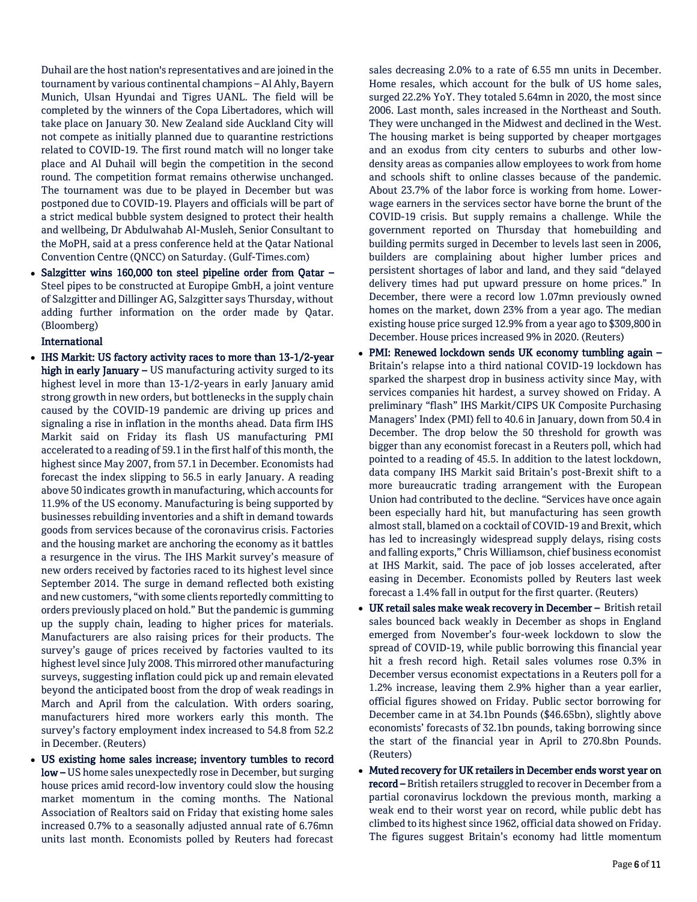Duhail are the host nation's representatives and are joined in the tournament by various continental champions – Al Ahly, Bayern Munich, Ulsan Hyundai and Tigres UANL. The field will be completed by the winners of the Copa Libertadores, which will take place on January 30. New Zealand side Auckland City will not compete as initially planned due to quarantine restrictions related to COVID-19. The first round match will no longer take place and Al Duhail will begin the competition in the second round. The competition format remains otherwise unchanged. The tournament was due to be played in December but was postponed due to COVID-19. Players and officials will be part of a strict medical bubble system designed to protect their health and wellbeing, Dr Abdulwahab Al-Musleh, Senior Consultant to the MoPH, said at a press conference held at the Qatar National Convention Centre (QNCC) on Saturday. (Gulf-Times.com)

 Salzgitter wins 160,000 ton steel pipeline order from Qatar – Steel pipes to be constructed at Europipe GmbH, a joint venture of Salzgitter and Dillinger AG, Salzgitter says Thursday, without adding further information on the order made by Qatar. (Bloomberg)

International

- IHS Markit: US factory activity races to more than 13-1/2-year high in early January  $-$  US manufacturing activity surged to its highest level in more than 13-1/2-years in early January amid strong growth in new orders, but bottlenecks in the supply chain caused by the COVID-19 pandemic are driving up prices and signaling a rise in inflation in the months ahead. Data firm IHS Markit said on Friday its flash US manufacturing PMI accelerated to a reading of 59.1 in the first half of this month, the highest since May 2007, from 57.1 in December. Economists had forecast the index slipping to 56.5 in early January. A reading above 50 indicates growth in manufacturing, which accounts for 11.9% of the US economy. Manufacturing is being supported by businesses rebuilding inventories and a shift in demand towards goods from services because of the coronavirus crisis. Factories and the housing market are anchoring the economy as it battles a resurgence in the virus. The IHS Markit survey's measure of new orders received by factories raced to its highest level since September 2014. The surge in demand reflected both existing and new customers, "with some clients reportedly committing to orders previously placed on hold." But the pandemic is gumming up the supply chain, leading to higher prices for materials. Manufacturers are also raising prices for their products. The survey's gauge of prices received by factories vaulted to its highest level since July 2008. This mirrored other manufacturing surveys, suggesting inflation could pick up and remain elevated beyond the anticipated boost from the drop of weak readings in March and April from the calculation. With orders soaring, manufacturers hired more workers early this month. The survey's factory employment index increased to 54.8 from 52.2 in December. (Reuters)
- US existing home sales increase; inventory tumbles to record low – US home sales unexpectedly rose in December, but surging house prices amid record-low inventory could slow the housing market momentum in the coming months. The National Association of Realtors said on Friday that existing home sales increased 0.7% to a seasonally adjusted annual rate of 6.76mn units last month. Economists polled by Reuters had forecast

sales decreasing 2.0% to a rate of 6.55 mn units in December. Home resales, which account for the bulk of US home sales, surged 22.2% YoY. They totaled 5.64mn in 2020, the most since 2006. Last month, sales increased in the Northeast and South. They were unchanged in the Midwest and declined in the West. The housing market is being supported by cheaper mortgages and an exodus from city centers to suburbs and other lowdensity areas as companies allow employees to work from home and schools shift to online classes because of the pandemic. About 23.7% of the labor force is working from home. Lowerwage earners in the services sector have borne the brunt of the COVID-19 crisis. But supply remains a challenge. While the government reported on Thursday that homebuilding and building permits surged in December to levels last seen in 2006, builders are complaining about higher lumber prices and persistent shortages of labor and land, and they said "delayed delivery times had put upward pressure on home prices." In December, there were a record low 1.07mn previously owned homes on the market, down 23% from a year ago. The median existing house price surged 12.9% from a year ago to \$309,800 in December. House prices increased 9% in 2020. (Reuters)

- PMI: Renewed lockdown sends UK economy tumbling again Britain's relapse into a third national COVID-19 lockdown has sparked the sharpest drop in business activity since May, with services companies hit hardest, a survey showed on Friday. A preliminary "flash" IHS Markit/CIPS UK Composite Purchasing Managers' Index (PMI) fell to 40.6 in January, down from 50.4 in December. The drop below the 50 threshold for growth was bigger than any economist forecast in a Reuters poll, which had pointed to a reading of 45.5. In addition to the latest lockdown, data company IHS Markit said Britain's post-Brexit shift to a more bureaucratic trading arrangement with the European Union had contributed to the decline. "Services have once again been especially hard hit, but manufacturing has seen growth almost stall, blamed on a cocktail of COVID-19 and Brexit, which has led to increasingly widespread supply delays, rising costs and falling exports," Chris Williamson, chief business economist at IHS Markit, said. The pace of job losses accelerated, after easing in December. Economists polled by Reuters last week forecast a 1.4% fall in output for the first quarter. (Reuters)
- UK retail sales make weak recovery in December British retail sales bounced back weakly in December as shops in England emerged from November's four-week lockdown to slow the spread of COVID-19, while public borrowing this financial year hit a fresh record high. Retail sales volumes rose 0.3% in December versus economist expectations in a Reuters poll for a 1.2% increase, leaving them 2.9% higher than a year earlier, official figures showed on Friday. Public sector borrowing for December came in at 34.1bn Pounds (\$46.65bn), slightly above economists' forecasts of 32.1bn pounds, taking borrowing since the start of the financial year in April to 270.8bn Pounds. (Reuters)
- Muted recovery for UK retailers in December ends worst year on record – British retailers struggled to recover in December from a partial coronavirus lockdown the previous month, marking a weak end to their worst year on record, while public debt has climbed to its highest since 1962, official data showed on Friday. The figures suggest Britain's economy had little momentum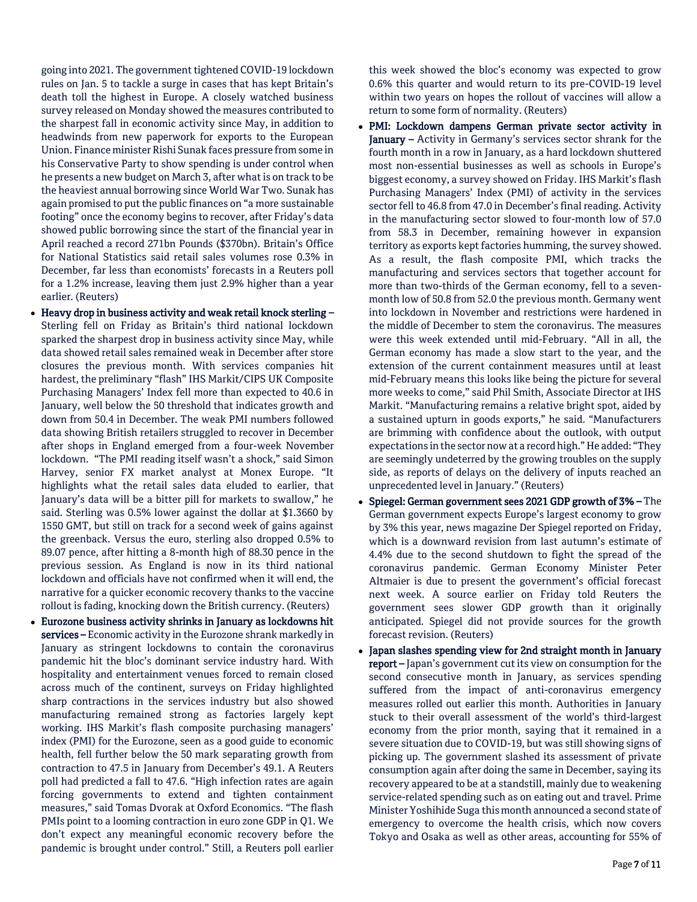going into 2021. The government tightened COVID-19 lockdown rules on Jan. 5 to tackle a surge in cases that has kept Britain's death toll the highest in Europe. A closely watched business survey released on Monday showed the measures contributed to the sharpest fall in economic activity since May, in addition to headwinds from new paperwork for exports to the European Union. Finance minister Rishi Sunak faces pressure from some in his Conservative Party to show spending is under control when he presents a new budget on March 3, after what is on track to be the heaviest annual borrowing since World War Two. Sunak has again promised to put the public finances on "a more sustainable footing" once the economy begins to recover, after Friday's data showed public borrowing since the start of the financial year in April reached a record 271bn Pounds (\$370bn). Britain's Office for National Statistics said retail sales volumes rose 0.3% in December, far less than economists' forecasts in a Reuters poll for a 1.2% increase, leaving them just 2.9% higher than a year earlier. (Reuters)

- Heavy drop in business activity and weak retail knock sterling Sterling fell on Friday as Britain's third national lockdown sparked the sharpest drop in business activity since May, while data showed retail sales remained weak in December after store closures the previous month. With services companies hit hardest, the preliminary "flash" IHS Markit/CIPS UK Composite Purchasing Managers' Index fell more than expected to 40.6 in January, well below the 50 threshold that indicates growth and down from 50.4 in December. The weak PMI numbers followed data showing British retailers struggled to recover in December after shops in England emerged from a four-week November lockdown. "The PMI reading itself wasn't a shock," said Simon Harvey, senior FX market analyst at Monex Europe. "It highlights what the retail sales data eluded to earlier, that January's data will be a bitter pill for markets to swallow," he said. Sterling was 0.5% lower against the dollar at \$1.3660 by 1550 GMT, but still on track for a second week of gains against the greenback. Versus the euro, sterling also dropped 0.5% to 89.07 pence, after hitting a 8-month high of 88.30 pence in the previous session. As England is now in its third national lockdown and officials have not confirmed when it will end, the narrative for a quicker economic recovery thanks to the vaccine rollout is fading, knocking down the British currency. (Reuters)
- Eurozone business activity shrinks in January as lockdowns hit services – Economic activity in the Eurozone shrank markedly in January as stringent lockdowns to contain the coronavirus pandemic hit the bloc's dominant service industry hard. With hospitality and entertainment venues forced to remain closed across much of the continent, surveys on Friday highlighted sharp contractions in the services industry but also showed manufacturing remained strong as factories largely kept working. IHS Markit's flash composite purchasing managers' index (PMI) for the Eurozone, seen as a good guide to economic health, fell further below the 50 mark separating growth from contraction to 47.5 in January from December's 49.1. A Reuters poll had predicted a fall to 47.6. "High infection rates are again forcing governments to extend and tighten containment measures," said Tomas Dvorak at Oxford Economics. "The flash PMIs point to a looming contraction in euro zone GDP in Q1. We don't expect any meaningful economic recovery before the pandemic is brought under control." Still, a Reuters poll earlier

this week showed the bloc's economy was expected to grow 0.6% this quarter and would return to its pre-COVID-19 level within two years on hopes the rollout of vaccines will allow a return to some form of normality. (Reuters)

- PMI: Lockdown dampens German private sector activity in January – Activity in Germany's services sector shrank for the fourth month in a row in January, as a hard lockdown shuttered most non-essential businesses as well as schools in Europe's biggest economy, a survey showed on Friday. IHS Markit's flash Purchasing Managers' Index (PMI) of activity in the services sector fell to 46.8 from 47.0 in December's final reading. Activity in the manufacturing sector slowed to four-month low of 57.0 from 58.3 in December, remaining however in expansion territory as exports kept factories humming, the survey showed. As a result, the flash composite PMI, which tracks the manufacturing and services sectors that together account for more than two-thirds of the German economy, fell to a sevenmonth low of 50.8 from 52.0 the previous month. Germany went into lockdown in November and restrictions were hardened in the middle of December to stem the coronavirus. The measures were this week extended until mid-February. "All in all, the German economy has made a slow start to the year, and the extension of the current containment measures until at least mid-February means this looks like being the picture for several more weeks to come," said Phil Smith, Associate Director at IHS Markit. "Manufacturing remains a relative bright spot, aided by a sustained upturn in goods exports," he said. "Manufacturers are brimming with confidence about the outlook, with output expectations in the sector now at a record high." He added: "They are seemingly undeterred by the growing troubles on the supply side, as reports of delays on the delivery of inputs reached an unprecedented level in January." (Reuters)
- Spiegel: German government sees 2021 GDP growth of 3% The German government expects Europe's largest economy to grow by 3% this year, news magazine Der Spiegel reported on Friday, which is a downward revision from last autumn's estimate of 4.4% due to the second shutdown to fight the spread of the coronavirus pandemic. German Economy Minister Peter Altmaier is due to present the government's official forecast next week. A source earlier on Friday told Reuters the government sees slower GDP growth than it originally anticipated. Spiegel did not provide sources for the growth forecast revision. (Reuters)
- Japan slashes spending view for 2nd straight month in January report - Japan's government cut its view on consumption for the second consecutive month in January, as services spending suffered from the impact of anti-coronavirus emergency measures rolled out earlier this month. Authorities in January stuck to their overall assessment of the world's third-largest economy from the prior month, saying that it remained in a severe situation due to COVID-19, but was still showing signs of picking up. The government slashed its assessment of private consumption again after doing the same in December, saying its recovery appeared to be at a standstill, mainly due to weakening service-related spending such as on eating out and travel. Prime Minister Yoshihide Suga this month announced a second state of emergency to overcome the health crisis, which now covers Tokyo and Osaka as well as other areas, accounting for 55% of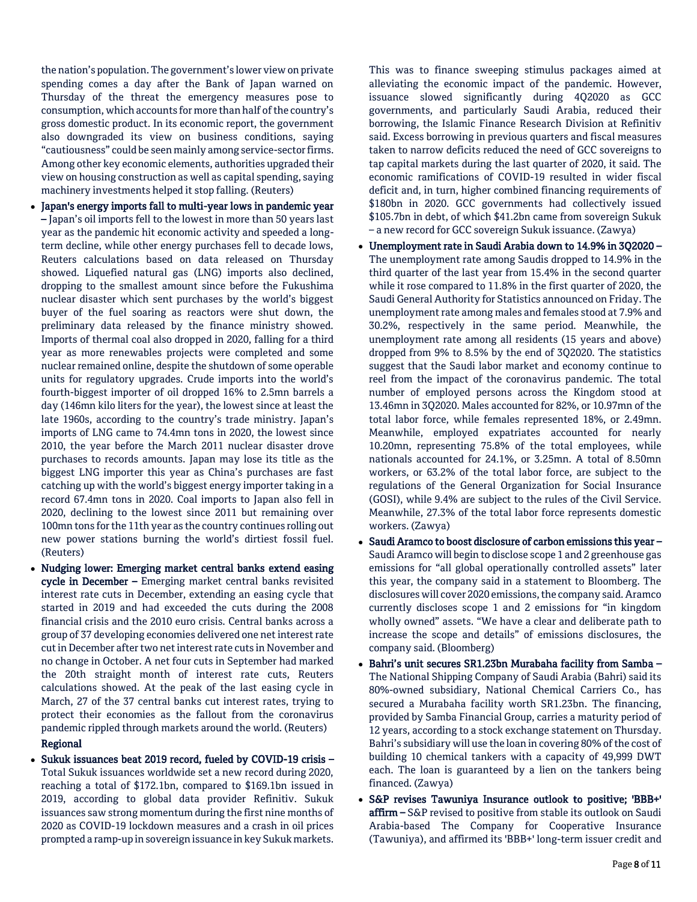the nation's population. The government's lower view on private spending comes a day after the Bank of Japan warned on Thursday of the threat the emergency measures pose to consumption, which accounts for more than half of the country's gross domestic product. In its economic report, the government also downgraded its view on business conditions, saying "cautiousness" could be seen mainly among service-sector firms. Among other key economic elements, authorities upgraded their view on housing construction as well as capital spending, saying machinery investments helped it stop falling. (Reuters)

- Japan's energy imports fall to multi-year lows in pandemic year – Japan's oil imports fell to the lowest in more than 50 years last year as the pandemic hit economic activity and speeded a longterm decline, while other energy purchases fell to decade lows, Reuters calculations based on data released on Thursday showed. Liquefied natural gas (LNG) imports also declined, dropping to the smallest amount since before the Fukushima nuclear disaster which sent purchases by the world's biggest buyer of the fuel soaring as reactors were shut down, the preliminary data released by the finance ministry showed. Imports of thermal coal also dropped in 2020, falling for a third year as more renewables projects were completed and some nuclear remained online, despite the shutdown of some operable units for regulatory upgrades. Crude imports into the world's fourth-biggest importer of oil dropped 16% to 2.5mn barrels a day (146mn kilo liters for the year), the lowest since at least the late 1960s, according to the country's trade ministry. Japan's imports of LNG came to 74.4mn tons in 2020, the lowest since 2010, the year before the March 2011 nuclear disaster drove purchases to records amounts. Japan may lose its title as the biggest LNG importer this year as China's purchases are fast catching up with the world's biggest energy importer taking in a record 67.4mn tons in 2020. Coal imports to Japan also fell in 2020, declining to the lowest since 2011 but remaining over 100mn tons for the 11th year as the country continues rolling out new power stations burning the world's dirtiest fossil fuel. (Reuters)
- Nudging lower: Emerging market central banks extend easing cycle in December - Emerging market central banks revisited interest rate cuts in December, extending an easing cycle that started in 2019 and had exceeded the cuts during the 2008 financial crisis and the 2010 euro crisis. Central banks across a group of 37 developing economies delivered one net interest rate cut in December after two net interest rate cuts in November and no change in October. A net four cuts in September had marked the 20th straight month of interest rate cuts, Reuters calculations showed. At the peak of the last easing cycle in March, 27 of the 37 central banks cut interest rates, trying to protect their economies as the fallout from the coronavirus pandemic rippled through markets around the world. (Reuters)

## Regional

 Sukuk issuances beat 2019 record, fueled by COVID-19 crisis – Total Sukuk issuances worldwide set a new record during 2020, reaching a total of \$172.1bn, compared to \$169.1bn issued in 2019, according to global data provider Refinitiv. Sukuk issuances saw strong momentum during the first nine months of 2020 as COVID-19 lockdown measures and a crash in oil prices prompted a ramp-up in sovereign issuance in key Sukuk markets.

This was to finance sweeping stimulus packages aimed at alleviating the economic impact of the pandemic. However, issuance slowed significantly during 4Q2020 as GCC governments, and particularly Saudi Arabia, reduced their borrowing, the Islamic Finance Research Division at Refinitiv said. Excess borrowing in previous quarters and fiscal measures taken to narrow deficits reduced the need of GCC sovereigns to tap capital markets during the last quarter of 2020, it said. The economic ramifications of COVID-19 resulted in wider fiscal deficit and, in turn, higher combined financing requirements of \$180bn in 2020. GCC governments had collectively issued \$105.7bn in debt, of which \$41.2bn came from sovereign Sukuk – a new record for GCC sovereign Sukuk issuance. (Zawya)

- Unemployment rate in Saudi Arabia down to 14.9% in 3Q2020 The unemployment rate among Saudis dropped to 14.9% in the third quarter of the last year from 15.4% in the second quarter while it rose compared to 11.8% in the first quarter of 2020, the Saudi General Authority for Statistics announced on Friday. The unemployment rate among males and females stood at 7.9% and 30.2%, respectively in the same period. Meanwhile, the unemployment rate among all residents (15 years and above) dropped from 9% to 8.5% by the end of 3Q2020. The statistics suggest that the Saudi labor market and economy continue to reel from the impact of the coronavirus pandemic. The total number of employed persons across the Kingdom stood at 13.46mn in 3Q2020. Males accounted for 82%, or 10.97mn of the total labor force, while females represented 18%, or 2.49mn. Meanwhile, employed expatriates accounted for nearly 10.20mn, representing 75.8% of the total employees, while nationals accounted for 24.1%, or 3.25mn. A total of 8.50mn workers, or 63.2% of the total labor force, are subject to the regulations of the General Organization for Social Insurance (GOSI), while 9.4% are subject to the rules of the Civil Service. Meanwhile, 27.3% of the total labor force represents domestic workers. (Zawya)
- Saudi Aramco to boost disclosure of carbon emissions this year Saudi Aramco will begin to disclose scope 1 and 2 greenhouse gas emissions for "all global operationally controlled assets" later this year, the company said in a statement to Bloomberg. The disclosures will cover 2020 emissions, the company said. Aramco currently discloses scope 1 and 2 emissions for "in kingdom wholly owned" assets. "We have a clear and deliberate path to increase the scope and details" of emissions disclosures, the company said. (Bloomberg)
- Bahri's unit secures SR1.23bn Murabaha facility from Samba The National Shipping Company of Saudi Arabia (Bahri) said its 80%-owned subsidiary, National Chemical Carriers Co., has secured a Murabaha facility worth SR1.23bn. The financing, provided by Samba Financial Group, carries a maturity period of 12 years, according to a stock exchange statement on Thursday. Bahri's subsidiary will use the loan in covering 80% of the cost of building 10 chemical tankers with a capacity of 49,999 DWT each. The loan is guaranteed by a lien on the tankers being financed. (Zawya)
- S&P revises Tawuniya Insurance outlook to positive; 'BBB+' affirm - S&P revised to positive from stable its outlook on Saudi Arabia-based The Company for Cooperative Insurance (Tawuniya), and affirmed its 'BBB+' long-term issuer credit and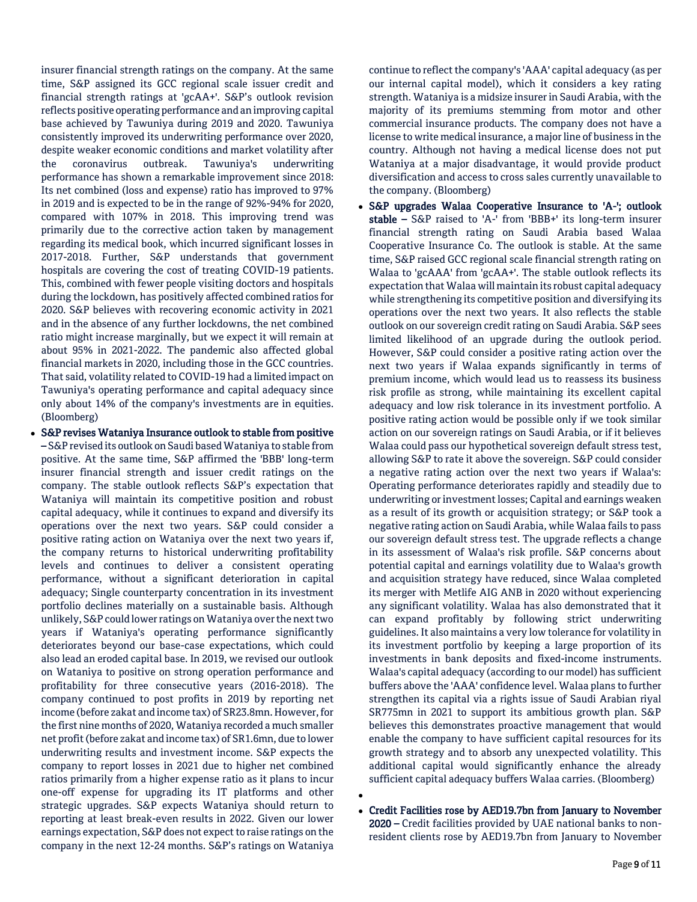insurer financial strength ratings on the company. At the same time, S&P assigned its GCC regional scale issuer credit and financial strength ratings at 'gcAA+'. S&P's outlook revision reflects positive operating performance and an improving capital base achieved by Tawuniya during 2019 and 2020. Tawuniya consistently improved its underwriting performance over 2020, despite weaker economic conditions and market volatility after the coronavirus outbreak. Tawuniya's underwriting performance has shown a remarkable improvement since 2018: Its net combined (loss and expense) ratio has improved to 97% in 2019 and is expected to be in the range of 92%-94% for 2020, compared with 107% in 2018. This improving trend was primarily due to the corrective action taken by management regarding its medical book, which incurred significant losses in 2017-2018. Further, S&P understands that government hospitals are covering the cost of treating COVID-19 patients. This, combined with fewer people visiting doctors and hospitals during the lockdown, has positively affected combined ratios for 2020. S&P believes with recovering economic activity in 2021 and in the absence of any further lockdowns, the net combined ratio might increase marginally, but we expect it will remain at about 95% in 2021-2022. The pandemic also affected global financial markets in 2020, including those in the GCC countries. That said, volatility related to COVID-19 had a limited impact on Tawuniya's operating performance and capital adequacy since only about 14% of the company's investments are in equities. (Bloomberg)

 S&P revises Wataniya Insurance outlook to stable from positive – S&P revised its outlook on Saudi based Wataniya to stable from positive. At the same time, S&P affirmed the 'BBB' long-term insurer financial strength and issuer credit ratings on the company. The stable outlook reflects S&P's expectation that Wataniya will maintain its competitive position and robust capital adequacy, while it continues to expand and diversify its operations over the next two years. S&P could consider a positive rating action on Wataniya over the next two years if, the company returns to historical underwriting profitability levels and continues to deliver a consistent operating performance, without a significant deterioration in capital adequacy; Single counterparty concentration in its investment portfolio declines materially on a sustainable basis. Although unlikely, S&P could lower ratings on Wataniya over the next two years if Wataniya's operating performance significantly deteriorates beyond our base-case expectations, which could also lead an eroded capital base. In 2019, we revised our outlook on Wataniya to positive on strong operation performance and profitability for three consecutive years (2016-2018). The company continued to post profits in 2019 by reporting net income (before zakat and income tax) of SR23.8mn. However, for the first nine months of 2020, Wataniya recorded a much smaller net profit (before zakat and income tax) of SR1.6mn, due to lower underwriting results and investment income. S&P expects the company to report losses in 2021 due to higher net combined ratios primarily from a higher expense ratio as it plans to incur one-off expense for upgrading its IT platforms and other strategic upgrades. S&P expects Wataniya should return to reporting at least break-even results in 2022. Given our lower earnings expectation, S&P does not expect to raise ratings on the company in the next 12-24 months. S&P's ratings on Wataniya

continue to reflect the company's 'AAA' capital adequacy (as per our internal capital model), which it considers a key rating strength. Wataniya is a midsize insurer in Saudi Arabia, with the majority of its premiums stemming from motor and other commercial insurance products. The company does not have a license to write medical insurance, a major line of business in the country. Although not having a medical license does not put Wataniya at a major disadvantage, it would provide product diversification and access to cross sales currently unavailable to the company. (Bloomberg)

- S&P upgrades Walaa Cooperative Insurance to 'A-'; outlook stable – S&P raised to 'A-' from 'BBB+' its long-term insurer financial strength rating on Saudi Arabia based Walaa Cooperative Insurance Co. The outlook is stable. At the same time, S&P raised GCC regional scale financial strength rating on Walaa to 'gcAAA' from 'gcAA+'. The stable outlook reflects its expectation that Walaa will maintain its robust capital adequacy while strengthening its competitive position and diversifying its operations over the next two years. It also reflects the stable outlook on our sovereign credit rating on Saudi Arabia. S&P sees limited likelihood of an upgrade during the outlook period. However, S&P could consider a positive rating action over the next two years if Walaa expands significantly in terms of premium income, which would lead us to reassess its business risk profile as strong, while maintaining its excellent capital adequacy and low risk tolerance in its investment portfolio. A positive rating action would be possible only if we took similar action on our sovereign ratings on Saudi Arabia, or if it believes Walaa could pass our hypothetical sovereign default stress test, allowing S&P to rate it above the sovereign. S&P could consider a negative rating action over the next two years if Walaa's: Operating performance deteriorates rapidly and steadily due to underwriting or investment losses; Capital and earnings weaken as a result of its growth or acquisition strategy; or S&P took a negative rating action on Saudi Arabia, while Walaa fails to pass our sovereign default stress test. The upgrade reflects a change in its assessment of Walaa's risk profile. S&P concerns about potential capital and earnings volatility due to Walaa's growth and acquisition strategy have reduced, since Walaa completed its merger with Metlife AIG ANB in 2020 without experiencing any significant volatility. Walaa has also demonstrated that it can expand profitably by following strict underwriting guidelines. It also maintains a very low tolerance for volatility in its investment portfolio by keeping a large proportion of its investments in bank deposits and fixed-income instruments. Walaa's capital adequacy (according to our model) has sufficient buffers above the 'AAA' confidence level. Walaa plans to further strengthen its capital via a rights issue of Saudi Arabian riyal SR775mn in 2021 to support its ambitious growth plan. S&P believes this demonstrates proactive management that would enable the company to have sufficient capital resources for its growth strategy and to absorb any unexpected volatility. This additional capital would significantly enhance the already sufficient capital adequacy buffers Walaa carries. (Bloomberg)
- Credit Facilities rose by AED19.7bn from January to November 2020 – Credit facilities provided by UAE national banks to nonresident clients rose by AED19.7bn from January to November

 $\bullet$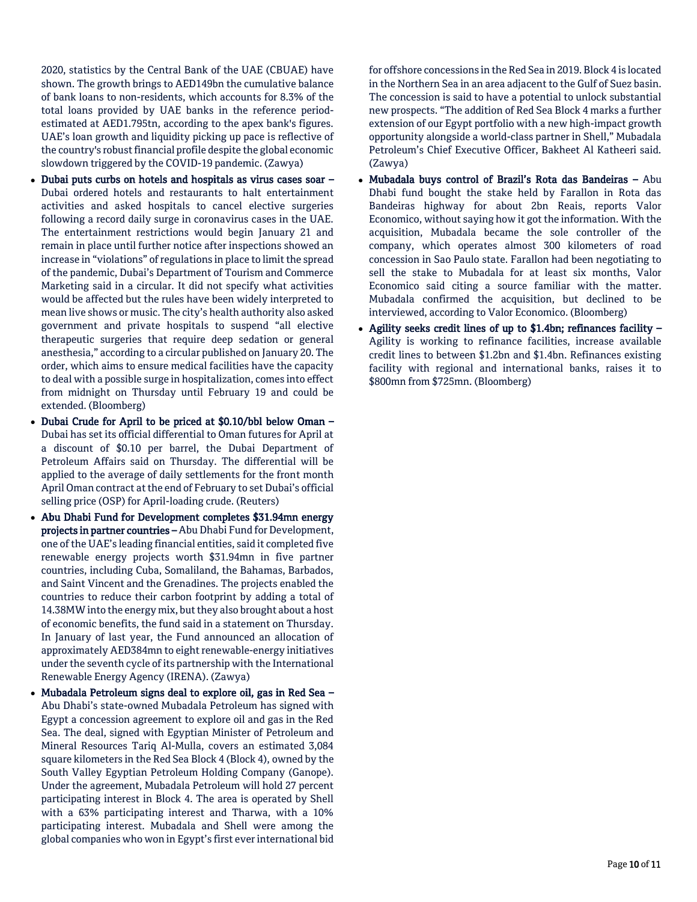2020, statistics by the Central Bank of the UAE (CBUAE) have shown. The growth brings to AED149bn the cumulative balance of bank loans to non-residents, which accounts for 8.3% of the total loans provided by UAE banks in the reference periodestimated at AED1.795tn, according to the apex bank's figures. UAE's loan growth and liquidity picking up pace is reflective of the country's robust financial profile despite the global economic slowdown triggered by the COVID-19 pandemic. (Zawya)

- Dubai puts curbs on hotels and hospitals as virus cases soar Dubai ordered hotels and restaurants to halt entertainment activities and asked hospitals to cancel elective surgeries following a record daily surge in coronavirus cases in the UAE. The entertainment restrictions would begin January 21 and remain in place until further notice after inspections showed an increase in "violations" of regulations in place to limit the spread of the pandemic, Dubai's Department of Tourism and Commerce Marketing said in a circular. It did not specify what activities would be affected but the rules have been widely interpreted to mean live shows or music. The city's health authority also asked government and private hospitals to suspend "all elective therapeutic surgeries that require deep sedation or general anesthesia," according to a circular published on January 20. The order, which aims to ensure medical facilities have the capacity to deal with a possible surge in hospitalization, comes into effect from midnight on Thursday until February 19 and could be extended. (Bloomberg)
- Dubai Crude for April to be priced at \$0.10/bbl below Oman Dubai has set its official differential to Oman futures for April at a discount of \$0.10 per barrel, the Dubai Department of Petroleum Affairs said on Thursday. The differential will be applied to the average of daily settlements for the front month April Oman contract at the end of February to set Dubai's official selling price (OSP) for April-loading crude. (Reuters)
- Abu Dhabi Fund for Development completes \$31.94mn energy projects in partner countries – Abu Dhabi Fund for Development, one of the UAE's leading financial entities, said it completed five renewable energy projects worth \$31.94mn in five partner countries, including Cuba, Somaliland, the Bahamas, Barbados, and Saint Vincent and the Grenadines. The projects enabled the countries to reduce their carbon footprint by adding a total of 14.38MW into the energy mix, but they also brought about a host of economic benefits, the fund said in a statement on Thursday. In January of last year, the Fund announced an allocation of approximately AED384mn to eight renewable-energy initiatives under the seventh cycle of its partnership with the International Renewable Energy Agency (IRENA). (Zawya)
- Mubadala Petroleum signs deal to explore oil, gas in Red Sea -Abu Dhabi's state-owned Mubadala Petroleum has signed with Egypt a concession agreement to explore oil and gas in the Red Sea. The deal, signed with Egyptian Minister of Petroleum and Mineral Resources Tariq Al-Mulla, covers an estimated 3,084 square kilometers in the Red Sea Block 4 (Block 4), owned by the South Valley Egyptian Petroleum Holding Company (Ganope). Under the agreement, Mubadala Petroleum will hold 27 percent participating interest in Block 4. The area is operated by Shell with a 63% participating interest and Tharwa, with a 10% participating interest. Mubadala and Shell were among the global companies who won in Egypt's first ever international bid

for offshore concessions in the Red Sea in 2019. Block 4 is located in the Northern Sea in an area adjacent to the Gulf of Suez basin. The concession is said to have a potential to unlock substantial new prospects. "The addition of Red Sea Block 4 marks a further extension of our Egypt portfolio with a new high-impact growth opportunity alongside a world-class partner in Shell," Mubadala Petroleum's Chief Executive Officer, Bakheet Al Katheeri said. (Zawya)

- Mubadala buys control of Brazil's Rota das Bandeiras Abu Dhabi fund bought the stake held by Farallon in Rota das Bandeiras highway for about 2bn Reais, reports Valor Economico, without saying how it got the information. With the acquisition, Mubadala became the sole controller of the company, which operates almost 300 kilometers of road concession in Sao Paulo state. Farallon had been negotiating to sell the stake to Mubadala for at least six months, Valor Economico said citing a source familiar with the matter. Mubadala confirmed the acquisition, but declined to be interviewed, according to Valor Economico. (Bloomberg)
- Agility seeks credit lines of up to \$1.4bn; refinances facility Agility is working to refinance facilities, increase available credit lines to between \$1.2bn and \$1.4bn. Refinances existing facility with regional and international banks, raises it to \$800mn from \$725mn. (Bloomberg)